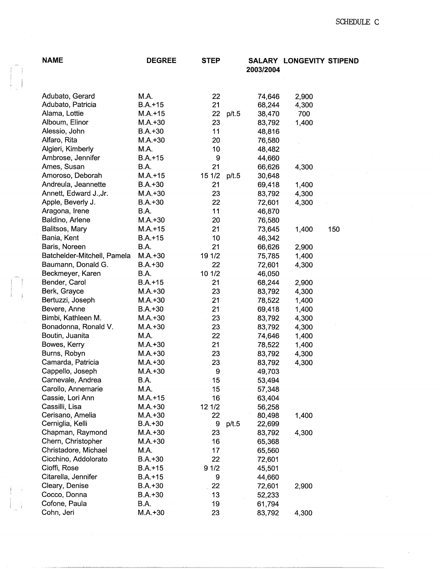| <b>NAME</b>                             | <b>DEGREE</b> | <b>STEP</b>      |       | 2003/2004        | <b>SALARY LONGEVITY STIPEND</b> |     |
|-----------------------------------------|---------------|------------------|-------|------------------|---------------------------------|-----|
| Adubato, Gerard                         | M.A.          | 22               |       | 74,646           | 2,900                           |     |
| Adubato, Patricia                       | $B.A.+15$     | 21               |       | 68,244           | 4,300                           |     |
| Alama, Lottie                           | $M.A.+15$     | 22               | p/t.5 | 38,470           | 700                             |     |
| Alboum, Elinor                          | $M.A.+30$     | 23               |       | 83,792           | 1,400                           |     |
| Alessio, John                           | $B.A.+30$     | 11               |       | 48,816           |                                 |     |
| Alfaro, Rita                            | $M.A.+30$     | 20               |       | 76,580           |                                 |     |
| Algieri, Kimberly                       | M.A.          | 10               |       | 48,482           |                                 |     |
| Ambrose, Jennifer                       | $B.A.+15$     | 9                |       | 44,660           |                                 |     |
| Ames, Susan                             | B.A.          | 21               |       | 66,626           | 4,300                           |     |
| Amoroso, Deborah                        | $M.A.+15$     | 15 1/2           | p/t.5 | 30,648           |                                 |     |
| Andreula, Jeannette                     | $B.A.+30$     | 21               |       | 69,418           | 1,400                           |     |
| Annett, Edward J., Jr.                  | $M.A.+30$     | 23               |       | 83,792           | 4,300                           |     |
| Apple, Beverly J.                       | $B.A.+30$     | 22               |       | 72,601           | 4,300                           |     |
| Aragona, Irene                          | B.A.          | 11               |       | 46,870           |                                 |     |
| Baldino, Arlene                         | $M.A.+30$     | 20               |       | 76,580           |                                 |     |
| Balitsos, Mary                          | $M.A. + 15$   | 21               |       | 73,645           | 1,400                           | 150 |
| Bania, Kent                             | $B.A.+15$     | 10               |       | 46,342           |                                 |     |
| Baris, Noreen                           | B.A.          | 21               |       | 66,626           | 2,900                           |     |
| Batchelder-Mitchell, Pamela             | $M.A. + 30$   | 19 1/2           |       | 75,785           | 1,400                           |     |
| Baumann, Donald G.                      | $B.A.+30$     | 22               |       | 72,601           | 4,300                           |     |
| Beckmeyer, Karen                        | B.A.          | 10 1/2           |       | 46,050           |                                 |     |
| Bender, Carol                           | $B.A.+15$     | 21               |       | 68,244           | 2,900                           |     |
| Berk, Grayce                            | $M.A.+30$     | 23               |       | 83,792           | 4,300                           |     |
| Bertuzzi, Joseph                        | $M.A.+30$     | 21               |       |                  |                                 |     |
| Bevere, Anne                            | $B.A.+30$     | 21               |       | 78,522           | 1,400                           |     |
| Bimbi, Kathleen M.                      | $M.A.+30$     | 23               |       | 69,418           | 1,400                           |     |
| Bonadonna, Ronald V.                    | $M.A.+30$     | 23               |       | 83,792           | 4,300                           |     |
| Boutin, Juanita                         | M.A.          | 22               |       | 83,792           | 4,300                           |     |
| Bowes, Kerry                            | $M.A. + 30$   | 21               |       | 74,646           | 1,400                           |     |
| Burns, Robyn                            | $M.A.+30$     | 23               |       | 78,522<br>83,792 | 1,400                           |     |
| Camarda, Patricia                       | $M.A. + 30$   | 23               |       |                  | 4,300                           |     |
| Cappello, Joseph                        | $M.A. + 30$   | $\boldsymbol{9}$ |       | 83,792           | 4,300                           |     |
|                                         |               |                  |       | 49,703           |                                 |     |
| Carnevale, Andrea<br>Carollo, Annemarie | B.A.<br>M.A.  | 15               |       | 53,494           |                                 |     |
| Cassie, Lori Ann                        | $M.A. + 15$   | 15<br>16         |       | 57,348<br>63,404 |                                 |     |
| Cassilli, Lisa                          | $M.A.+30$     | 12 1/2           |       |                  |                                 |     |
| Cerisano, Amelia                        | $M.A.+30$     | 22               |       | 56,258<br>80,498 | 1,400                           |     |
| Cerniglia, Kelli                        | $B.A.+30$     | 9                | p/t.5 | 22,699           |                                 |     |
| Chapman, Raymond                        | $M.A.+30$     | 23               |       | 83,792           | 4,300                           |     |
| Chern, Christopher                      | $M.A.+30$     | 16               |       | 65,368           |                                 |     |
| Christadore, Michael                    | M.A.          | 17               |       | 65,560           |                                 |     |
| Cicchino, Addolorato                    | $B.A.+30$     | 22               |       | 72,601           |                                 |     |
| Cioffi, Rose                            | $B.A.+15$     | 91/2             |       |                  |                                 |     |
| Citarella, Jennifer                     | $B.A.+15$     | 9                |       | 45,501           |                                 |     |
| Cleary, Denise                          | $B.A.+30$     | 22               |       | 44,660           |                                 |     |
| Cocco, Donna                            | $B.A.+30$     | 13               |       | 72,601           | 2,900                           |     |
| Cofone, Paula                           | B.A.          | 19               |       | 52,233           |                                 |     |
| Cohn, Jeri                              | $M.A.+30$     | 23               |       | 61,794           |                                 |     |
|                                         |               |                  |       | 83,792           | 4,300                           |     |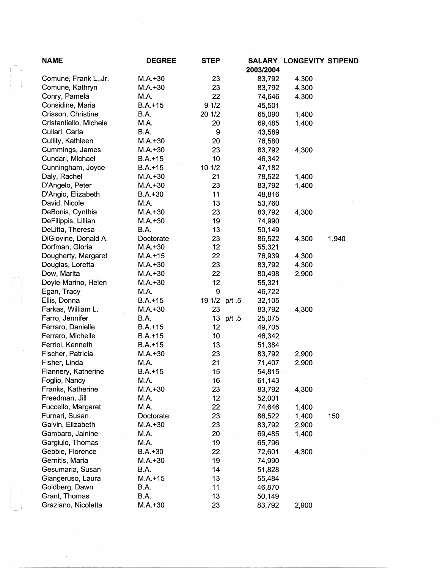| <b>NAME</b>            | <b>DEGREE</b> | <b>STEP</b>   | 2003/2004           | <b>SALARY LONGEVITY STIPEND</b> |       |
|------------------------|---------------|---------------|---------------------|---------------------------------|-------|
| Comune, Frank L., Jr.  | $M.A. + 30$   | 23            | 83,792              | 4,300                           |       |
| Comune, Kathryn        | $M.A. + 30$   | 23            | 83,792              | 4,300                           |       |
| Conry, Pamela          | M.A.          | 22            | 74,646              | 4,300                           |       |
| Considine, Maria       | $B.A. + 15$   | 91/2          | 45,501              |                                 |       |
| Crisson, Christine     | B.A.          | 20 1/2        | 65,090              | 1,400                           |       |
| Cristantiello, Michele | M.A.          | 20            | 69,485              | 1,400                           |       |
| Cullari, Carla         | B.A.          | 9             | 43,589              |                                 |       |
| Cullity, Kathleen      | $M.A. + 30$   | 20            | 76,580              |                                 |       |
| Cummings, James        | $M.A.+30$     | 23            | 83,792              | 4,300                           |       |
| Cundari, Michael       | $B.A.+15$     | 10            | 46,342              |                                 |       |
| Cunningham, Joyce      | $B.A.+15$     | 10 1/2        | 47,182              |                                 |       |
| Daly, Rachel           | $M.A. + 30$   | 21            | 78,522              | 1,400                           |       |
| D'Angelo, Peter        | $M.A.+30$     | 23            | 83,792              | 1,400                           |       |
| D'Angio, Elizabeth     | $B.A.+30$     | 11            | 48,816              |                                 |       |
| David, Nicole          | M.A.          | 13            | 53,760              |                                 |       |
| DeBonis, Cynthia       | $M.A.+30$     | 23            | 83,792              | 4,300                           |       |
| DeFilippis, Lillian    | $M.A. + 30$   | 19            | 74,990              |                                 |       |
| DeLitta, Theresa       | B.A.          | 13            | 50,149              |                                 |       |
| DiGiovine, Donald A.   | Doctorate     | 23            | 86,522              | 4,300                           | 1,940 |
| Dorfman, Gloria        | $M.A.+30$     | 12            | 55,321              |                                 |       |
| Dougherty, Margaret    | $M.A. + 15$   | 22            | 76,939              | 4,300                           |       |
| Douglas, Loretta       | $M.A.+30$     | 23            | 83,792              | 4,300                           |       |
| Dow, Marita            | $M.A.+30$     | 22            | 80,498              | 2,900                           |       |
| Doyle-Marino, Helen    | $M.A.+30$     | 12            | 55,321              |                                 |       |
| Egan, Tracy            | M.A.          | 9             | 46,722              |                                 |       |
| Ellis, Donna           | $B.A.+15$     | 19 1/2 p/t .5 | 32,105              |                                 |       |
| Farkas, William L.     | $M.A.+30$     | 23            | 83,792              | 4,300                           |       |
| Farro, Jennifer        | B.A.          |               | 13 p/t .5<br>25,075 |                                 |       |
| Ferraro, Danielle      | $B.A.+15$     | 12            | 49,705              |                                 |       |
| Ferraro, Michelle      | $B.A.+15$     | 10            | 46,342              |                                 |       |
| Ferriol, Kenneth       | $B.A.+15$     | 13            | 51,384              |                                 |       |
| Fischer, Patricia      | $M.A.+30$     | 23            | 83,792              | 2,900                           |       |
| Fisher, Linda          | M.A.          | 21            | 71,407              |                                 |       |
| Flannery, Katherine    | $B.A.+15$     | 15            | 54,815              | 2,900                           |       |
| Foglio, Nancy          | M.A.          | 16            | 61,143              |                                 |       |
| Franks, Katherine      | $M.A. + 30$   | 23            |                     |                                 |       |
| Freedman, Jill         | M.A.          | 12            | 83,792<br>52,001    | 4,300                           |       |
|                        | M.A.          |               |                     |                                 |       |
| Fuccello, Margaret     |               | 22            | 74,646              | 1,400                           |       |
| Furnari, Susan         | Doctorate     | 23            | 86,522              | 1,400                           | 150   |
| Galvin, Elizabeth      | $M.A.+30$     | 23            | 83,792              | 2,900                           |       |
| Gambaro, Jainine       | M.A.          | 20            | 69,485              | 1,400                           |       |
| Gargiulo, Thomas       | M.A.          | 19            | 65,796              |                                 |       |
| Gebbie, Florence       | $B.A.+30$     | 22            | 72,601              | 4,300                           |       |
| Gernitis, Maria        | $M.A.+30$     | 19            | 74,990              |                                 |       |
| Gesumaria, Susan       | B.A.          | 14            | 51,828              |                                 |       |
| Giangeruso, Laura      | $M.A. + 15$   | 13            | 55,484              |                                 |       |
| Goldberg, Dawn         | B.A.          | 11            | 46,870              |                                 |       |
| Grant, Thomas          | <b>B.A.</b>   | 13            | 50,149              |                                 |       |
| Graziano, Nicoletta    | $M.A.+30$     | 23            | 83,792              | 2,900                           |       |

 $\begin{pmatrix} 1 & 1 \\ 1 & 1 \\ 1 & 1 \end{pmatrix}$ 

 $\begin{bmatrix} 1 & 1 \\ 1 & 1 \\ 1 & 1 \end{bmatrix}$ 

 $\frac{1}{2}$ 

 $\begin{picture}(20,20) \put(0,0){\vector(1,0){100}} \put(15,0){\vector(1,0){100}} \put(15,0){\vector(1,0){100}} \put(15,0){\vector(1,0){100}} \put(15,0){\vector(1,0){100}} \put(15,0){\vector(1,0){100}} \put(15,0){\vector(1,0){100}} \put(15,0){\vector(1,0){100}} \put(15,0){\vector(1,0){100}} \put(15,0){\vector(1,0){100}} \put(15,0){\vector(1,0){100}} \$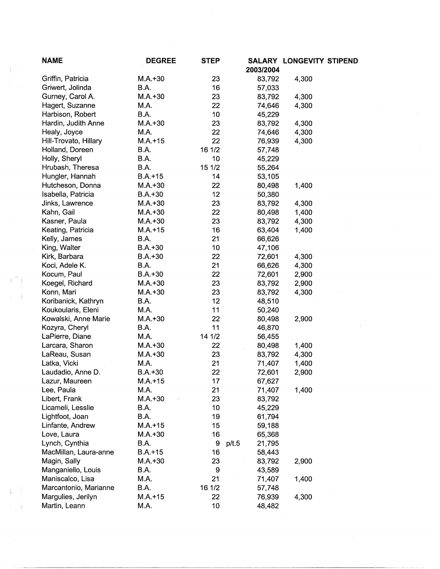| <b>NAME</b>           | <b>DEGREE</b> | <b>STEP</b> |                  | <b>SALARY LONGEVITY STIPEND</b> |
|-----------------------|---------------|-------------|------------------|---------------------------------|
|                       |               |             | 2003/2004        |                                 |
| Griffin, Patricia     | $M.A. + 30$   | 23          | 83,792           | 4,300                           |
| Griwert, Jolinda      | B.A.          | 16          | 57,033           |                                 |
| Gurney, Carol A.      | $M.A. + 30$   | 23          | 83,792           | 4,300                           |
| Hagert, Suzanne       | M.A.          | 22          | 74,646           | 4,300                           |
| Harbison, Robert      | B.A.          | 10          | 45,229           |                                 |
| Hardin, Judith Anne   | $M.A.+30$     | 23          | 83,792           | 4,300                           |
| Healy, Joyce          | M.A.          | 22          | 74,646           | 4,300                           |
| Hill-Trovato, Hillary | $M.A. + 15$   | 22          | 76,939           | 4,300                           |
| Holland, Doreen       | B.A.          | 16 1/2      | 57,748           |                                 |
| Holly, Sheryl         | B.A.          | 10          | 45,229           |                                 |
| Hrubash, Theresa      | B.A.          | 15 1/2      | 55,264           |                                 |
| Hungler, Hannah       | $B.A. + 15$   | 14          | 53,105           |                                 |
| Hutcheson, Donna      | $M.A. + 30$   | 22          | 80,498           | 1,400                           |
| Isabella, Patricia    | $B.A.+30$     | 12          | 50,380           |                                 |
| Jinks, Lawrence       | $M.A.+30$     | 23          | 83,792           | 4,300                           |
| Kahn, Gail            | $M.A. + 30$   | 22          | 80,498           | 1,400                           |
| Kasner, Paula         | $M.A. + 30$   | 23          | 83,792           | 4,300                           |
| Keating, Patricia     | $M.A. + 15$   | 16          | 63,404           | 1,400                           |
| Kelly, James          | B.A.          | 21          | 66,626           |                                 |
| King, Walter          | $B.A.+30$     | 10          | 47,106           |                                 |
| Kirk, Barbara         | $B.A.+30$     | 22          | 72,601           | 4,300                           |
| Koci, Adele K.        | B.A.          | 21          | 66,626           | 4,300                           |
| Kocum, Paul           | $B.A.+30$     | 22          | 72,601           | 2,900                           |
| Koegel, Richard       | $M.A. + 30$   | 23          | 83,792           | 2,900                           |
| Konn, Mari            | $M.A. + 30$   | 23          | 83,792           | 4,300                           |
| Koribanick, Kathryn   | B.A.          | 12          | 48,510           |                                 |
| Koukoularis, Eleni    | M.A.          | 11          | 50,240           |                                 |
| Kowalski, Anne Marie  | $M.A.+30$     | 22          | 80,498           | 2,900                           |
| Kozyra, Cheryl        | B.A.          | 11          | 46,870           |                                 |
| LaPierre, Diane       | M.A.          | 14 1/2      | 56,455           |                                 |
| Larcara, Sharon       | $M.A.+30$     | 22          | 80,498           | 1,400                           |
| LaReau, Susan         | $M.A.+30$     | 23          | 83,792           | 4,300                           |
| Latka, Vicki          | M.A.          | 21          | 71,407           | 1,400                           |
| Laudadio, Anne D.     | $B.A.+30$     | 22          | 72,601           | 2,900                           |
| Lazur, Maureen        | $M.A.+15$     | 17          | 67,627           |                                 |
| Lee, Paula            | M.A.          | 21          | 71,407           | 1,400                           |
| Libert, Frank         | $M.A.+30$     | 23          | 83,792           |                                 |
| Licameli, Lesslie     | B.A.          | 10          | 45,229           |                                 |
| Lightfoot, Joan       | B.A.          | 19          |                  |                                 |
| Linfante, Andrew      | $M.A.+15$     | 15          | 61,794<br>59,188 |                                 |
|                       |               |             |                  |                                 |
| Love, Laura           | $M.A.+30$     | 16          | 65,368           |                                 |
| Lynch, Cynthia        | B.A.          | 9           | p/t.5<br>21,795  |                                 |
| MacMillan, Laura-anne | $B.A.+15$     | 16          | 58,443           |                                 |
| Magin, Sally          | $M.A.+30$     | 23          | 83,792           | 2,900                           |
| Manganiello, Louis    | B.A.          | 9           | 43,589           |                                 |
| Maniscalco, Lisa      | M.A.          | 21          | 71,407           | 1,400                           |
| Marcantonio, Marianne | B.A.          | 16 1/2      | 57,748           |                                 |
| Margulies, Jerilyn    | $M.A.+15$     | 22          | 76,939           | 4,300                           |
| Martin, Leann         | M.A.          | 10          | 48,482           |                                 |

 $\bar{\gamma}$ 

÷,

 $\sim$ 

 $\frac{1}{2}$ 

 $\hat{\mathcal{A}}$ 

 $\left( \begin{array}{c} \rule{0pt}{2.2ex} \\ \rule{0pt}{2.2ex} \end{array} \right)$ 

 $\mathfrak j$ 

 $\frac{1}{2}$  $\mathbf{I}$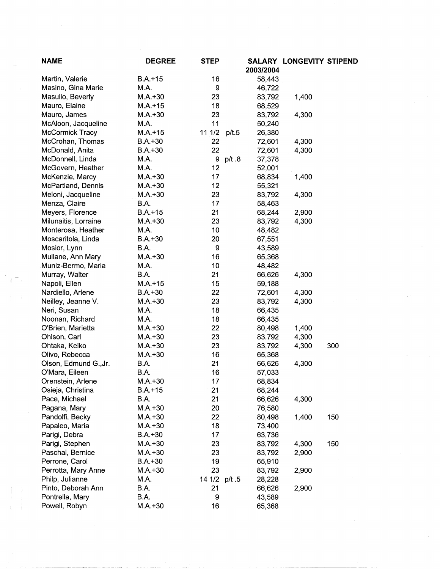| <b>NAME</b>            | <b>DEGREE</b> | <b>STEP</b>   |       |                  | SALARY LONGEVITY STIPEND |     |
|------------------------|---------------|---------------|-------|------------------|--------------------------|-----|
|                        |               |               |       | 2003/2004        |                          |     |
| Martin, Valerie        | $B.A.+15$     | 16            |       | 58,443           |                          |     |
| Masino, Gina Marie     | M.A.          | 9             |       | 46,722           |                          |     |
| Masullo, Beverly       | $M.A. + 30$   | 23            |       | 83,792           | 1,400                    |     |
| Mauro, Elaine          | $M.A. + 15$   | 18            |       | 68,529           |                          |     |
| Mauro, James           | $M.A.+30$     | 23            |       | 83,792           | 4,300                    |     |
| McAloon, Jacqueline    | M.A.          | 11            |       | 50,240           |                          |     |
| <b>McCormick Tracy</b> | $M.A. + 15$   | 11 1/2        | p/t.5 | 26,380           |                          |     |
| McCrohan, Thomas       | $B.A.+30$     | 22            |       | 72,601           | 4,300                    |     |
| McDonald, Anita        | $B.A.+30$     | 22            |       | 72,601           | 4,300                    |     |
| McDonnell, Linda       | M.A.          | 9             | p/t.8 | 37,378           |                          |     |
| McGovern, Heather      | M.A.          | 12            |       | 52,001           |                          |     |
| McKenzie, Marcy        | $M.A.+30$     | 17            |       | 68,834           | 1,400                    |     |
| McPartland, Dennis     | $M.A.+30$     | 12            |       | 55,321           |                          |     |
| Meloni, Jacqueline     | $M.A.+30$     | 23            |       | 83,792           | 4,300                    |     |
| Menza, Claire          | B.A.          | 17            |       | 58,463           |                          |     |
| Meyers, Florence       | $B.A.+15$     | 21            |       | 68,244           | 2,900                    |     |
| Milunaitis, Lorraine   | $M.A.+30$     | 23            |       | 83,792           | 4,300                    |     |
| Monterosa, Heather     | M.A.          | 10            |       | 48,482           |                          |     |
| Moscaritola, Linda     | $B.A.+30$     | 20            |       | 67,551           |                          |     |
| Mosior, Lynn           | B.A.          | 9             |       | 43,589           |                          |     |
| Mullane, Ann Mary      | $M.A.+30$     | 16            |       | 65,368           |                          |     |
| Muniz-Bermo, Maria     | M.A.          | 10            |       | 48,482           |                          |     |
| Murray, Walter         | B.A.          | 21            |       | 66,626           | 4,300                    |     |
| Napoli, Ellen          | $M.A.+15$     | 15            |       | 59,188           |                          |     |
| Nardiello, Arlene      | $B.A.+30$     | 22            |       | 72,601           | 4,300                    |     |
| Neilley, Jeanne V.     | $M.A.+30$     | 23            |       | 83,792           | 4,300                    |     |
| Neri, Susan            | M.A.          | 18            |       | 66,435           |                          |     |
| Noonan, Richard        | M.A.          | 18            |       | 66,435           |                          |     |
| O'Brien, Marietta      | $M.A.+30$     | 22            |       | 80,498           | 1,400                    |     |
| Ohlson, Carl           | $M.A.+30$     | 23            |       | 83,792           | 4,300                    |     |
| Ohtaka, Keiko          | $M.A.+30$     | 23            |       | 83,792           | 4,300                    | 300 |
| Olivo, Rebecca         | $M.A.+30$     | 16            |       | 65,368           |                          |     |
| Olson, Edmund G., Jr.  | B.A.          | 21            |       | 66,626           | 4,300                    |     |
| O'Mara, Eileen         | B.A.          | 16            |       | 57,033           |                          |     |
| Orenstein, Arlene      | $M.A.+30$     | 17            |       | 68,834           |                          |     |
| Osieja, Christina      | $B.A.+15$     | 21            |       | 68,244           |                          |     |
| Pace, Michael          | B.A.          | 21            |       | 66,626           | 4,300                    |     |
| Pagana, Mary           | $M.A.+30$     | 20            |       | 76,580           |                          |     |
| Pandolfi, Becky        | $M.A.+30$     | 22            |       | 80,498           | 1,400                    | 150 |
| Papaleo, Maria         | $M.A.+30$     | 18            |       |                  |                          |     |
|                        |               | 17            |       | 73,400<br>63,736 |                          |     |
| Parigi, Debra          | $B.A.+30$     |               |       |                  |                          |     |
| Parigi, Stephen        | $M.A.+30$     | 23            |       | 83,792           | 4,300                    | 150 |
| Paschal, Bernice       | $M.A.+30$     | 23            |       | 83,792           | 2,900                    |     |
| Perrone, Carol         | $B.A.+30$     | 19            |       | 65,910           |                          |     |
| Perrotta, Mary Anne    | $M.A. + 30$   | 23            |       | 83,792           | 2,900                    |     |
| Philp, Julianne        | M.A.          | 14 1/2 p/t .5 |       | 28,228           |                          |     |
| Pinto, Deborah Ann     | B.A.          | 21            |       | 66,626           | 2,900                    |     |
| Pontrella, Mary        | B.A.          | 9             |       | 43,589           |                          |     |
| Powell, Robyn          | $M.A.+30$     | 16            |       | 65,368           |                          |     |

 $\label{eq:1} \frac{1}{\sqrt{2}}\int_{0}^{\pi} \frac{1}{\sqrt{2}}\left(\frac{1}{\sqrt{2}}\right)^{2}dx$ 

 $\sim$   $\sim$ 

 $\sim$   $\sim$ 

 $\frac{1}{2} \sum_{i=1}^{n} \frac{1}{2} \sum_{i=1}^{n} \frac{1}{2} \sum_{i=1}^{n} \frac{1}{2} \sum_{i=1}^{n} \frac{1}{2} \sum_{i=1}^{n} \frac{1}{2} \sum_{i=1}^{n} \frac{1}{2} \sum_{i=1}^{n} \frac{1}{2} \sum_{i=1}^{n} \frac{1}{2} \sum_{i=1}^{n} \frac{1}{2} \sum_{i=1}^{n} \frac{1}{2} \sum_{i=1}^{n} \frac{1}{2} \sum_{i=1}^{n} \frac{1}{2} \sum_{i=1}^{n$ 

 $\mathbb{R}^m$  :

 $\langle \hat{A} \rangle$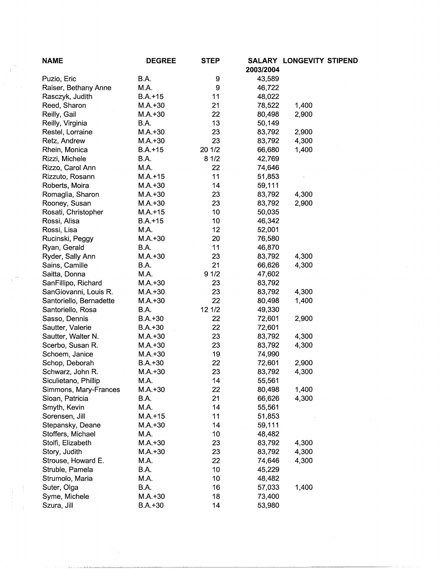| <b>NAME</b>             | <b>DEGREE</b> | <b>STEP</b> | 2003/2004 | SALARY LONGEVITY STIPEND |
|-------------------------|---------------|-------------|-----------|--------------------------|
| Puzio, Eric             | B.A.          | 9           | 43,589    |                          |
| Raiser, Bethany Anne    | M.A.          | 9           | 46,722    |                          |
| Rasczyk, Judith         | $B.A.+15$     | 11          | 48,022    |                          |
| Reed, Sharon            | $M.A.+30$     | 21          | 78,522    | 1,400                    |
| Reilly, Gail            | $M.A.+30$     | 22          | 80,498    | 2,900                    |
| Reilly, Virginia        | B.A.          | 13          | 50,149    |                          |
| Restel, Lorraine        | $M.A.+30$     | 23          | 83,792    | 2,900                    |
| Retz, Andrew            | $M.A.+30$     | 23          | 83,792    | 4,300                    |
| Rhein, Monica           | $B.A.+15$     | 20 1/2      | 66,680    | 1,400                    |
| Rizzi, Michele          | B.A.          | 81/2        | 42,769    |                          |
| Rizzo, Carol Ann        | M.A.          | 22          | 74,646    |                          |
| Rizzuto, Rosann         | $M.A.+15$     | 11          | 51,853    |                          |
|                         |               | 14          |           |                          |
| Roberts, Moira          | $M.A.+30$     |             | 59,111    |                          |
| Romaglia, Sharon        | $M.A. + 30$   | 23          | 83,792    | 4,300                    |
| Rooney, Susan           | $M.A.+30$     | 23          | 83,792    | 2,900                    |
| Rosati, Christopher     | $M.A. + 15$   | 10          | 50,035    |                          |
| Rossi, Alisa            | $B.A.+15$     | 10          | 46,342    |                          |
| Rossi, Lisa             | M.A.          | 12          | 52,001    |                          |
| Rucinski, Peggy         | $M.A.+30$     | 20          | 76,580    |                          |
| Ryan, Gerald            | B.A.          | 11          | 46,870    |                          |
| Ryder, Sally Ann        | $M.A.+30$     | 23          | 83,792    | 4,300                    |
| Sains, Camille          | B.A.          | 21          | 66,626    | 4,300                    |
| Saitta, Donna           | M.A.          | 91/2        | 47,602    |                          |
| SanFillipo, Richard     | $M.A.+30$     | 23          | 83,792    |                          |
| SanGiovanni, Louis R.   | $M.A.+30$     | 23          | 83,792    | 4,300                    |
| Santoriello, Bernadette | $M.A.+30$     | 22          | 80,498    | 1,400                    |
| Santoriello, Rosa       | B.A.          | 12 1/2      | 49,330    |                          |
| Sasso, Dennis           | $B.A.+30$     | 22          | 72,601    | 2,900                    |
| Sautter, Valerie        | $B.A.+30$     | 22          | 72,601    |                          |
| Sautter, Walter N.      | $M.A.+30$     | 23          | 83,792    | 4,300                    |
| Scerbo, Susan R.        | $M.A.+30$     | 23          | 83,792    | 4,300                    |
| Schoem, Janice          | $M.A.+30$     | 19          | 74,990    |                          |
| Schop, Deborah          | $B.A.+30$     | 22          | 72,601    | 2,900                    |
| Schwarz, John R.        | $M.A.+30$     | 23          | 83,792    | 4,300                    |
| Siculietano, Phillip    | M.A.          | 14          | 55,561    |                          |
| Simmons, Mary-Frances   | $M.A.+30$     | 22          | 80,498    | 1,400                    |
| Sloan, Patricia         | B.A.          | 21          | 66,626    | 4,300                    |
| Smyth, Kevin            | M.A.          | 14          | 55,561    |                          |
| Sorensen, Jill          | $M.A. + 15$   | 11          | 51,853    |                          |
| Stepansky, Deane        | $M.A.+30$     | 14          | 59,111    |                          |
| Stoffers, Michael       | M.A.          | 10          | 48,482    |                          |
| Stolfi, Elizabeth       | $M.A.+30$     | 23          | 83,792    | 4,300                    |
| Story, Judith           | $M.A.+30$     | 23          | 83,792    | 4,300                    |
| Strouse, Howard E.      | M.A.          | 22          | 74,646    | 4,300                    |
| Struble, Pamela         | B.A.          | 10          | 45,229    |                          |
| Strumolo, Maria         | M.A.          | 10          | 48,482    |                          |
| Suter, Olga             | B.A.          | 16          | 57,033    | 1,400                    |
| Syme, Michele           | $M.A.+30$     | 18          | 73,400    |                          |
| Szura, Jill             | $B.A. + 30$   | 14          | 53,980    |                          |
|                         |               |             |           |                          |

, the constraint in the matrix of the second constraint  $\mathcal{L}_1$  . The second constraint  $\mathcal{L}_2$ 

 $\begin{array}{c} \frac{1}{2} & \frac{1}{2} \\ \frac{1}{2} & \frac{1}{2} \end{array}$